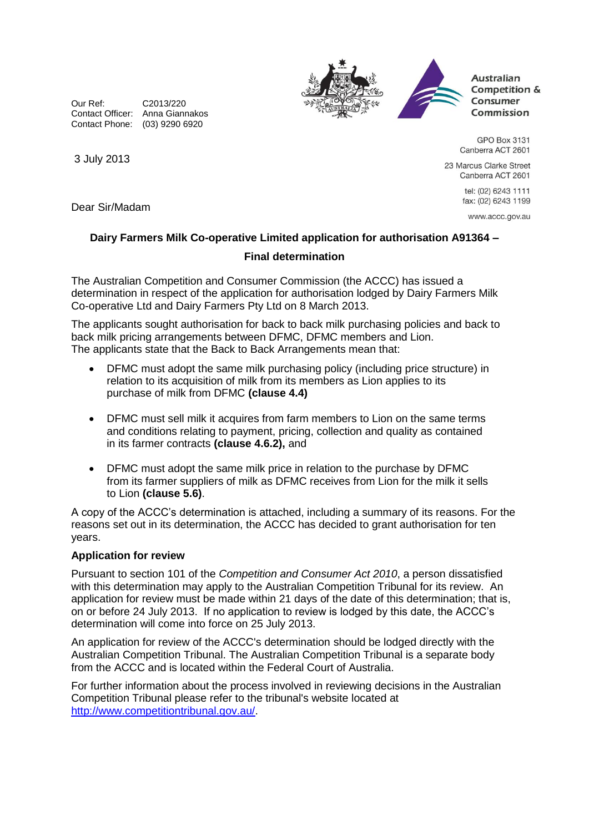Our Ref: C2013/220 Contact Officer: Anna Giannakos Contact Phone: (03) 9290 6920





**Australian** Competition & Consumer Commission

GPO Box 3131 Canberra ACT 2601

23 Marcus Clarke Street Canberra ACT 2601

> tel: (02) 6243 1111 fax: (02) 6243 1199

www.accc.gov.au

Dear Sir/Madam

3 July 2013

## **Dairy Farmers Milk Co-operative Limited application for authorisation A91364 – Final determination**

The Australian Competition and Consumer Commission (the ACCC) has issued a determination in respect of the application for authorisation lodged by Dairy Farmers Milk Co-operative Ltd and Dairy Farmers Pty Ltd on 8 March 2013.

The applicants sought authorisation for back to back milk purchasing policies and back to back milk pricing arrangements between DFMC, DFMC members and Lion. The applicants state that the Back to Back Arrangements mean that:

- DFMC must adopt the same milk purchasing policy (including price structure) in relation to its acquisition of milk from its members as Lion applies to its purchase of milk from DFMC **(clause 4.4)**
- DFMC must sell milk it acquires from farm members to Lion on the same terms and conditions relating to payment, pricing, collection and quality as contained in its farmer contracts **(clause 4.6.2),** and
- DFMC must adopt the same milk price in relation to the purchase by DFMC from its farmer suppliers of milk as DFMC receives from Lion for the milk it sells to Lion **(clause 5.6)**.

A copy of the ACCC's determination is attached, including a summary of its reasons. For the reasons set out in its determination, the ACCC has decided to grant authorisation for ten years.

## **Application for review**

Pursuant to section 101 of the *Competition and Consumer Act 2010*, a person dissatisfied with this determination may apply to the Australian Competition Tribunal for its review. An application for review must be made within 21 days of the date of this determination; that is, on or before 24 July 2013. If no application to review is lodged by this date, the ACCC's determination will come into force on 25 July 2013.

An application for review of the ACCC's determination should be lodged directly with the Australian Competition Tribunal. The Australian Competition Tribunal is a separate body from the ACCC and is located within the Federal Court of Australia.

For further information about the process involved in reviewing decisions in the Australian Competition Tribunal please refer to the tribunal's website located at [http://www.competitiontribunal.gov.au/.](http://www.competitiontribunal.gov.au/)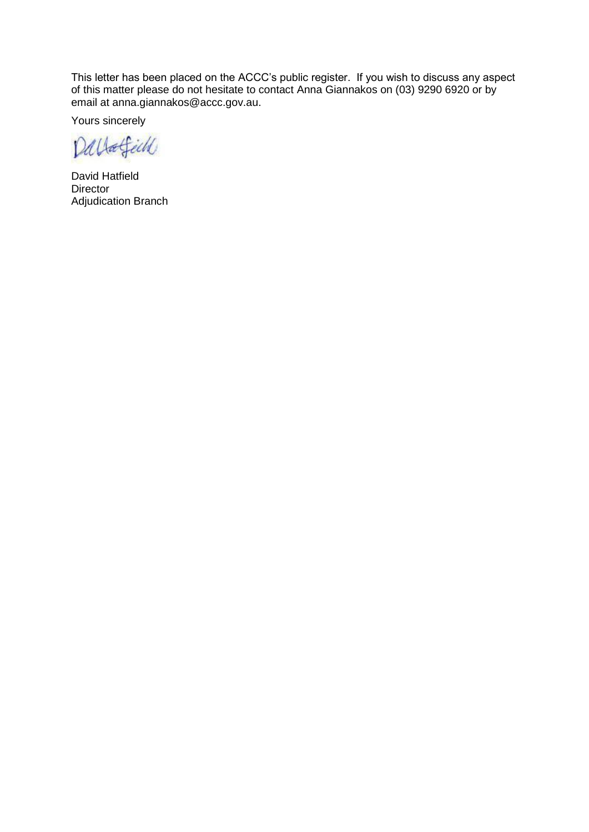This letter has been placed on the ACCC's public register. If you wish to discuss any aspect of this matter please do not hesitate to contact Anna Giannakos on (03) 9290 6920 or by email at anna.giannakos@accc.gov.au.

Yours sincerely

Dallafield

David Hatfield **Director** Adjudication Branch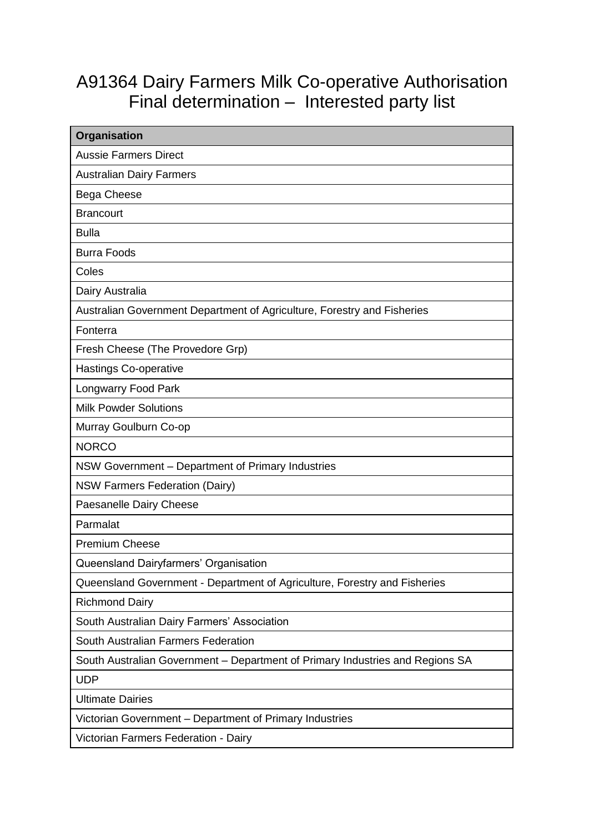## A91364 Dairy Farmers Milk Co-operative Authorisation Final determination – Interested party list

| Organisation                                                                  |
|-------------------------------------------------------------------------------|
| <b>Aussie Farmers Direct</b>                                                  |
| <b>Australian Dairy Farmers</b>                                               |
| Bega Cheese                                                                   |
| <b>Brancourt</b>                                                              |
| <b>Bulla</b>                                                                  |
| <b>Burra Foods</b>                                                            |
| Coles                                                                         |
| Dairy Australia                                                               |
| Australian Government Department of Agriculture, Forestry and Fisheries       |
| Fonterra                                                                      |
| Fresh Cheese (The Provedore Grp)                                              |
| Hastings Co-operative                                                         |
| <b>Longwarry Food Park</b>                                                    |
| <b>Milk Powder Solutions</b>                                                  |
| Murray Goulburn Co-op                                                         |
| <b>NORCO</b>                                                                  |
| NSW Government - Department of Primary Industries                             |
| <b>NSW Farmers Federation (Dairy)</b>                                         |
| Paesanelle Dairy Cheese                                                       |
| Parmalat                                                                      |
| <b>Premium Cheese</b>                                                         |
| Queensland Dairyfarmers' Organisation                                         |
| Queensland Government - Department of Agriculture, Forestry and Fisheries     |
| <b>Richmond Dairy</b>                                                         |
| South Australian Dairy Farmers' Association                                   |
| South Australian Farmers Federation                                           |
| South Australian Government - Department of Primary Industries and Regions SA |
| <b>UDP</b>                                                                    |
| <b>Ultimate Dairies</b>                                                       |
| Victorian Government - Department of Primary Industries                       |
| Victorian Farmers Federation - Dairy                                          |